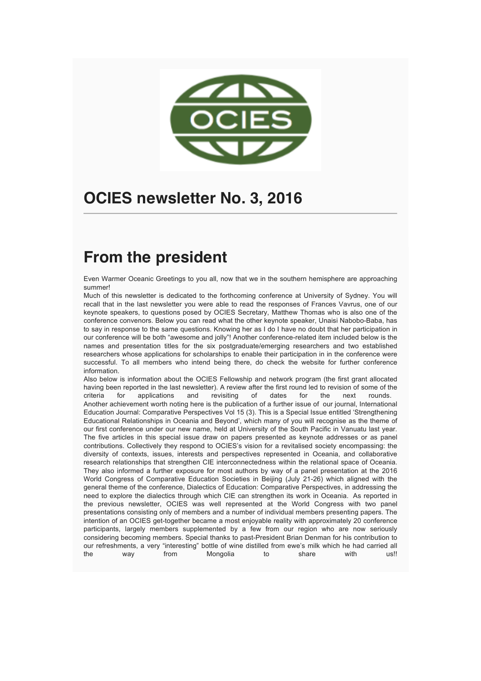

# **OCIES newsletter No. 3, 2016**

# **From the president**

Even Warmer Oceanic Greetings to you all, now that we in the southern hemisphere are approaching summer!

Much of this newsletter is dedicated to the forthcoming conference at University of Sydney. You will recall that in the last newsletter you were able to read the responses of Frances Vavrus, one of our keynote speakers, to questions posed by OCIES Secretary, Matthew Thomas who is also one of the conference convenors. Below you can read what the other keynote speaker, Unaisi Nabobo-Baba, has to say in response to the same questions. Knowing her as I do I have no doubt that her participation in our conference will be both "awesome and jolly"! Another conference-related item included below is the names and presentation titles for the six postgraduate/emerging researchers and two established researchers whose applications for scholarships to enable their participation in in the conference were successful. To all members who intend being there, do check the website for further conference information.

Also below is information about the OCIES Fellowship and network program (the first grant allocated having been reported in the last newsletter). A review after the first round led to revision of some of the criteria for applications and revisiting of dates for the next rounds. Another achievement worth noting here is the publication of a further issue of our journal, International Education Journal: Comparative Perspectives Vol 15 (3). This is a Special Issue entitled 'Strengthening Educational Relationships in Oceania and Beyond', which many of you will recognise as the theme of our first conference under our new name, held at University of the South Pacific in Vanuatu last year. The five articles in this special issue draw on papers presented as keynote addresses or as panel contributions. Collectively they respond to OCIES's vision for a revitalised society encompassing: the diversity of contexts, issues, interests and perspectives represented in Oceania, and collaborative research relationships that strengthen CIE interconnectedness within the relational space of Oceania. They also informed a further exposure for most authors by way of a panel presentation at the 2016 World Congress of Comparative Education Societies in Beijing (July 21-26) which aligned with the general theme of the conference, Dialectics of Education: Comparative Perspectives, in addressing the need to explore the dialectics through which CIE can strengthen its work in Oceania. As reported in the previous newsletter, OCIES was well represented at the World Congress with two panel presentations consisting only of members and a number of individual members presenting papers. The intention of an OCIES get-together became a most enjoyable reality with approximately 20 conference participants, largely members supplemented by a few from our region who are now seriously considering becoming members. Special thanks to past-President Brian Denman for his contribution to our refreshments, a very "interesting" bottle of wine distilled from ewe's milk which he had carried all the way from Mongolia to share with us!!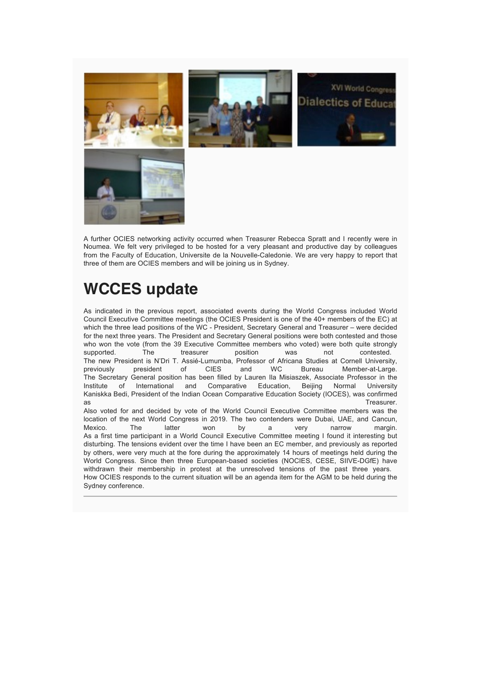

A further OCIES networking activity occurred when Treasurer Rebecca Spratt and I recently were in Noumea. We felt very privileged to be hosted for a very pleasant and productive day by colleagues from the Faculty of Education, Universite de la Nouvelle-Caledonie. We are very happy to report that three of them are OCIES members and will be joining us in Sydney.

# **WCCES update**

As indicated in the previous report, associated events during the World Congress included World Council Executive Committee meetings (the OCIES President is one of the 40+ members of the EC) at which the three lead positions of the WC - President, Secretary General and Treasurer – were decided for the next three years. The President and Secretary General positions were both contested and those who won the vote (from the 39 Executive Committee members who voted) were both quite strongly supported. The treasurer position was not contested. The new President is N'Dri T. Assié-Lumumba, Professor of Africana Studies at Cornell University, previously president of CIES and WC Bureau Member-at-Large. The Secretary General position has been filled by Lauren Ila Misiaszek, Associate Professor in the Institute of International and Comparative Education, Beijing Normal University Kaniskka Bedi, President of the Indian Ocean Comparative Education Society (IOCES), was confirmed as the control of the control of the control of the control of the control of the control of the control of th Also voted for and decided by vote of the World Council Executive Committee members was the location of the next World Congress in 2019. The two contenders were Dubai, UAE, and Cancun, Mexico. The latter won by a very narrow margin. As a first time participant in a World Council Executive Committee meeting I found it interesting but disturbing. The tensions evident over the time I have been an EC member, and previously as reported by others, were very much at the fore during the approximately 14 hours of meetings held during the World Congress. Since then three European-based societies (NOCIES, CESE, SIIVE-DGfE) have withdrawn their membership in protest at the unresolved tensions of the past three years. How OCIES responds to the current situation will be an agenda item for the AGM to be held during the Sydney conference.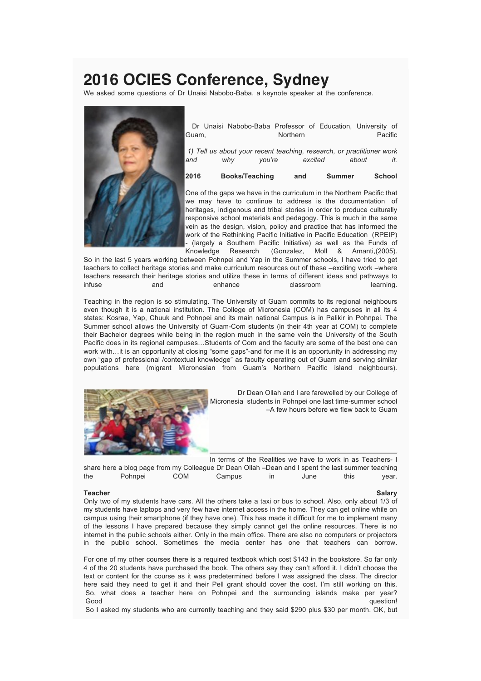# **2016 OCIES Conference, Sydney**

We asked some questions of Dr Unaisi Nabobo-Baba, a keynote speaker at the conference.



Dr Unaisi Nabobo-Baba Professor of Education, University of Guam, **Northern** Pacific

*1) Tell us about your recent teaching, research, or practitioner work and why you're excited about it.*

**2016 Books/Teaching and Summer School**

One of the gaps we have in the curriculum in the Northern Pacific that we may have to continue to address is the documentation of heritages, indigenous and tribal stories in order to produce culturally responsive school materials and pedagogy. This is much in the same vein as the design, vision, policy and practice that has informed the work of the Rethinking Pacific Initiative in Pacific Education (RPEIP) - (largely a Southern Pacific Initiative) as well as the Funds of Knowledge Research (Gonzalez, Moll & Amanti,(2005).

So in the last 5 years working between Pohnpei and Yap in the Summer schools, I have tried to get teachers to collect heritage stories and make curriculum resources out of these –exciting work –where teachers research their heritage stories and utilize these in terms of different ideas and pathways to infuse and enhance classroom learning.

Teaching in the region is so stimulating. The University of Guam commits to its regional neighbours even though it is a national institution. The College of Micronesia (COM) has campuses in all its 4 states: Kosrae, Yap, Chuuk and Pohnpei and its main national Campus is in Palikir in Pohnpei. The Summer school allows the University of Guam-Com students (in their 4th year at COM) to complete their Bachelor degrees while being in the region much in the same vein the University of the South Pacific does in its regional campuses…Students of Com and the faculty are some of the best one can work with…it is an opportunity at closing "some gaps"-and for me it is an opportunity in addressing my own "gap of professional /contextual knowledge" as faculty operating out of Guam and serving similar populations here (migrant Micronesian from Guam's Northern Pacific island neighbours).



Dr Dean Ollah and I are farewelled by our College of Micronesia students in Pohnpei one last time-summer school –A few hours before we flew back to Guam

In terms of the Realities we have to work in as Teachers- I share here a blog page from my Colleague Dr Dean Ollah –Dean and I spent the last summer teaching the Pohnpei COM Campus in June this year.

### **Teacher Salary**

Only two of my students have cars. All the others take a taxi or bus to school. Also, only about 1/3 of my students have laptops and very few have internet access in the home. They can get online while on campus using their smartphone (if they have one). This has made it difficult for me to implement many of the lessons I have prepared because they simply cannot get the online resources. There is no internet in the public schools either. Only in the main office. There are also no computers or projectors in the public school. Sometimes the media center has one that teachers can borrow.

For one of my other courses there is a required textbook which cost \$143 in the bookstore. So far only 4 of the 20 students have purchased the book. The others say they can't afford it. I didn't choose the text or content for the course as it was predetermined before I was assigned the class. The director here said they need to get it and their Pell grant should cover the cost. I'm still working on this. So, what does a teacher here on Pohnpei and the surrounding islands make per year? Good question!

So I asked my students who are currently teaching and they said \$290 plus \$30 per month. OK, but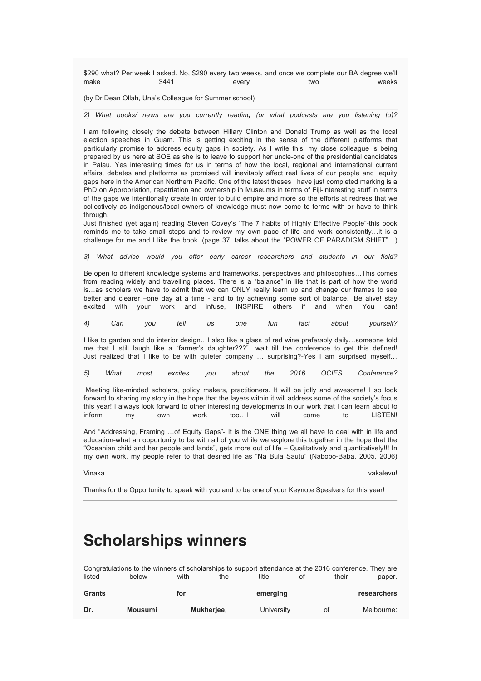\$290 what? Per week I asked. No, \$290 every two weeks, and once we complete our BA degree we'll make \$441 every two weeks

(by Dr Dean Ollah, Una's Colleague for Summer school)

*2) What books/ news are you currently reading (or what podcasts are you listening to)?*

I am following closely the debate between Hillary Clinton and Donald Trump as well as the local election speeches in Guam. This is getting exciting in the sense of the different platforms that particularly promise to address equity gaps in society. As I write this, my close colleague is being prepared by us here at SOE as she is to leave to support her uncle-one of the presidential candidates in Palau. Yes interesting times for us in terms of how the local, regional and international current affairs, debates and platforms as promised will inevitably affect real lives of our people and equity gaps here in the American Northern Pacific. One of the latest theses I have just completed marking is a PhD on Appropriation, repatriation and ownership in Museums in terms of Fiji-interesting stuff in terms of the gaps we intentionally create in order to build empire and more so the efforts at redress that we collectively as indigenous/local owners of knowledge must now come to terms with or have to think through.

Just finished (yet again) reading Steven Covey's "The 7 habits of Highly Effective People"-this book reminds me to take small steps and to review my own pace of life and work consistently…it is a challenge for me and I like the book (page 37: talks about the "POWER OF PARADIGM SHIFT"…)

*3) What advice would you offer early career researchers and students in our field?*

Be open to different knowledge systems and frameworks, perspectives and philosophies…This comes from reading widely and travelling places. There is a "balance" in life that is part of how the world is…as scholars we have to admit that we can ONLY really learn up and change our frames to see better and clearer –one day at a time - and to try achieving some sort of balance, Be alive! stay excited with your work and infuse, INSPIRE others if and when You can!

*4) Can you tell us one fun fact about yourself?*

I like to garden and do interior design…I also like a glass of red wine preferably daily…someone told me that I still laugh like a "farmer's daughter???"…wait till the conference to get this defined! Just realized that I like to be with quieter company ... surprising?-Yes I am surprised myself...

| 5) | What | most | excites | vou | about | the | 2016 | <b>OCIES</b> | Conference? |
|----|------|------|---------|-----|-------|-----|------|--------------|-------------|
|    |      |      |         |     |       |     |      |              |             |

Meeting like-minded scholars, policy makers, practitioners. It will be jolly and awesome! I so look forward to sharing my story in the hope that the layers within it will address some of the society's focus this year! I always look forward to other interesting developments in our work that I can learn about to inform my own work too…I will come to LISTEN!

And "Addressing, Framing …of Equity Gaps"- It is the ONE thing we all have to deal with in life and education-what an opportunity to be with all of you while we explore this together in the hope that the "Oceanian child and her people and lands", gets more out of life – Qualitatively and quantitatively!!! In my own work, my people refer to that desired life as "Na Bula Sautu" (Nabobo-Baba, 2005, 2006)

Vinaka vakalevu!

Thanks for the Opportunity to speak with you and to be one of your Keynote Speakers for this year!

## **Scholarships winners**

Congratulations to the winners of scholarships to support attendance at the 2016 conference. They are listed below with the title of their paper.

| Grants |                | for               | emerging   |    | researchers |
|--------|----------------|-------------------|------------|----|-------------|
| Dr.    | <b>Mousumi</b> | <b>Mukherjee.</b> | University | 0t | Melbourne:  |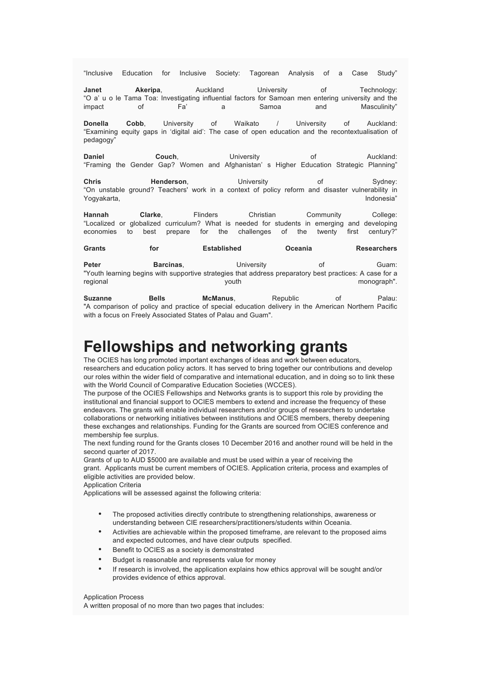"Inclusive Education for Inclusive Society: Tagorean Analysis of a Case Study"

**Janet Akeripa, Auckland University of Technology:** "O a' u o le Tama Toa: Investigating influential factors for Samoan men entering university and the impact of Fa' a Samoa and Masculinity"

**Donella Cobb**, University of Waikato / University of Auckland: "Examining equity gaps in 'digital aid': The case of open education and the recontextualisation of pedagogy"

**Daniel Couch, Couch, Daniel Couch, Daniel Couch, Daniel Auckland:** "Framing the Gender Gap? Women and Afghanistan' s Higher Education Strategic Planning"

**Chris Chris Henderson, Christian University Christian Christian Christian Christian Muslim Christian Christian C** "On unstable ground? Teachers' work in a context of policy reform and disaster vulnerability in Yogyakarta, **Indonesia**"

**Hannah Clarke**, Flinders Christian Community College: "Localized or globalized curriculum? What is needed for students in emerging and developing economies to best prepare for the challenges of the twenty first century?"

**Grants for Established Oceania Researchers**

**Peter Barcinas, Community Community Community Community Community Community Community Community Community Community** "Youth learning begins with supportive strategies that address preparatory best practices: A case for a regional youth monograph".

**Suzanne Bells McManus, Republic of Palau:** "A comparison of policy and practice of special education delivery in the American Northern Pacific with a focus on Freely Associated States of Palau and Guam".

# **Fellowships and networking grants**

The OCIES has long promoted important exchanges of ideas and work between educators, researchers and education policy actors. It has served to bring together our contributions and develop our roles within the wider field of comparative and international education, and in doing so to link these with the World Council of Comparative Education Societies (WCCES).

The purpose of the OCIES Fellowships and Networks grants is to support this role by providing the institutional and financial support to OCIES members to extend and increase the frequency of these endeavors. The grants will enable individual researchers and/or groups of researchers to undertake collaborations or networking initiatives between institutions and OCIES members, thereby deepening these exchanges and relationships. Funding for the Grants are sourced from OCIES conference and membership fee surplus.

The next funding round for the Grants closes 10 December 2016 and another round will be held in the second quarter of 2017.

Grants of up to AUD \$5000 are available and must be used within a year of receiving the grant. Applicants must be current members of OCIES. Application criteria, process and examples of eligible activities are provided below.

Application Criteria

Applications will be assessed against the following criteria:

- The proposed activities directly contribute to strengthening relationships, awareness or understanding between CIE researchers/practitioners/students within Oceania.
- Activities are achievable within the proposed timeframe, are relevant to the proposed aims and expected outcomes, and have clear outputs specified.
- Benefit to OCIES as a society is demonstrated
- Budget is reasonable and represents value for money
- If research is involved, the application explains how ethics approval will be sought and/or provides evidence of ethics approval.

### Application Process

A written proposal of no more than two pages that includes: